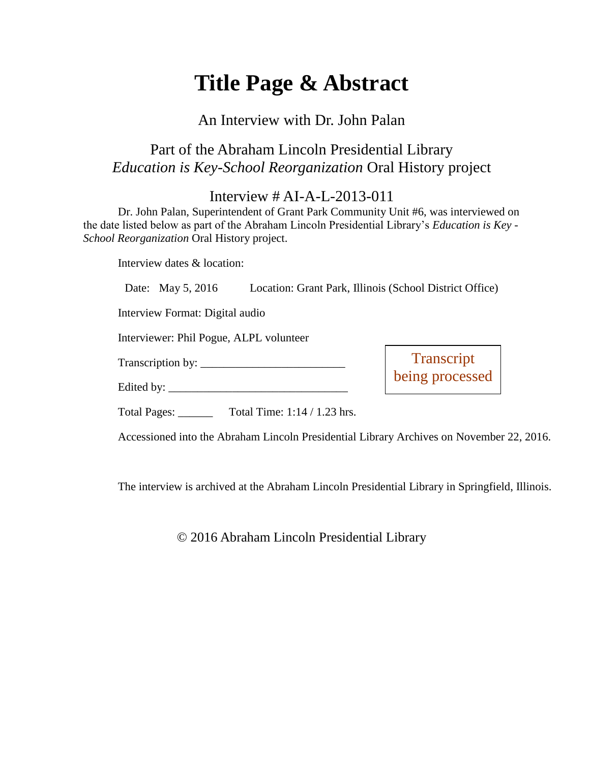# **Title Page & Abstract**

### An Interview with Dr. John Palan

## Part of the Abraham Lincoln Presidential Library *Education is Key-School Reorganization* Oral History project

## Interview # AI-A-L-2013-011

Dr. John Palan, Superintendent of Grant Park Community Unit #6, was interviewed on the date listed below as part of the Abraham Lincoln Presidential Library's *Education is Key - School Reorganization* Oral History project.

Interview dates & location:

|  | Date: May 5, 2016 |  | Location: Grant Park, Illinois (School District Office) |  |  |  |  |
|--|-------------------|--|---------------------------------------------------------|--|--|--|--|
|--|-------------------|--|---------------------------------------------------------|--|--|--|--|

Interview Format: Digital audio

Interviewer: Phil Pogue, ALPL volunteer

Transcription by: \_\_\_\_\_\_\_\_\_\_\_\_\_\_\_\_\_\_\_\_\_\_\_\_\_

Edited by:

**Transcript** being processed

Total Pages: Total Time: 1:14 / 1.23 hrs.

Accessioned into the Abraham Lincoln Presidential Library Archives on November 22, 2016.

The interview is archived at the Abraham Lincoln Presidential Library in Springfield, Illinois.

© 2016 Abraham Lincoln Presidential Library